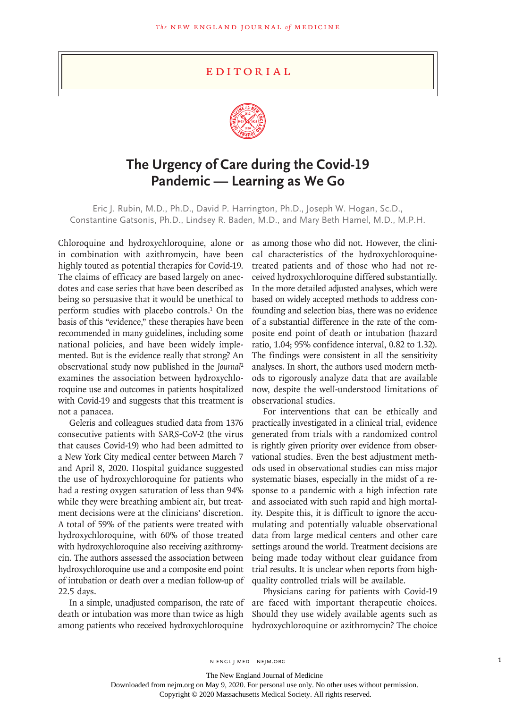## **EDITORIAL**



## **The Urgency of Care during the Covid-19 Pandemic — Learning as We Go**

Eric J. Rubin, M.D., Ph.D., David P. Harrington, Ph.D., Joseph W. Hogan, Sc.D., Constantine Gatsonis, Ph.D., Lindsey R. Baden, M.D., and Mary Beth Hamel, M.D., M.P.H.

Chloroquine and hydroxychloroquine, alone or in combination with azithromycin, have been highly touted as potential therapies for Covid-19. The claims of efficacy are based largely on anecdotes and case series that have been described as being so persuasive that it would be unethical to perform studies with placebo controls.<sup>1</sup> On the basis of this "evidence," these therapies have been recommended in many guidelines, including some national policies, and have been widely implemented. But is the evidence really that strong? An observational study now published in the *Journal*<sup>2</sup> examines the association between hydroxychloroquine use and outcomes in patients hospitalized with Covid-19 and suggests that this treatment is not a panacea.

Geleris and colleagues studied data from 1376 consecutive patients with SARS-CoV-2 (the virus that causes Covid-19) who had been admitted to a New York City medical center between March 7 and April 8, 2020. Hospital guidance suggested the use of hydroxychloroquine for patients who had a resting oxygen saturation of less than 94% while they were breathing ambient air, but treatment decisions were at the clinicians' discretion. A total of 59% of the patients were treated with hydroxychloroquine, with 60% of those treated with hydroxychloroquine also receiving azithromycin. The authors assessed the association between hydroxychloroquine use and a composite end point of intubation or death over a median follow-up of 22.5 days.

In a simple, unadjusted comparison, the rate of death or intubation was more than twice as high

as among those who did not. However, the clinical characteristics of the hydroxychloroquinetreated patients and of those who had not received hydroxychloroquine differed substantially. In the more detailed adjusted analyses, which were based on widely accepted methods to address confounding and selection bias, there was no evidence of a substantial difference in the rate of the composite end point of death or intubation (hazard ratio, 1.04; 95% confidence interval, 0.82 to 1.32). The findings were consistent in all the sensitivity analyses. In short, the authors used modern methods to rigorously analyze data that are available now, despite the well-understood limitations of observational studies.

For interventions that can be ethically and practically investigated in a clinical trial, evidence generated from trials with a randomized control is rightly given priority over evidence from observational studies. Even the best adjustment methods used in observational studies can miss major systematic biases, especially in the midst of a response to a pandemic with a high infection rate and associated with such rapid and high mortality. Despite this, it is difficult to ignore the accumulating and potentially valuable observational data from large medical centers and other care settings around the world. Treatment decisions are being made today without clear guidance from trial results. It is unclear when reports from highquality controlled trials will be available.

among patients who received hydroxychloroquine hydroxychloroquine or azithromycin? The choice Physicians caring for patients with Covid-19 are faced with important therapeutic choices. Should they use widely available agents such as

The New England Journal of Medicine

Downloaded from nejm.org on May 9, 2020. For personal use only. No other uses without permission.

Copyright © 2020 Massachusetts Medical Society. All rights reserved.